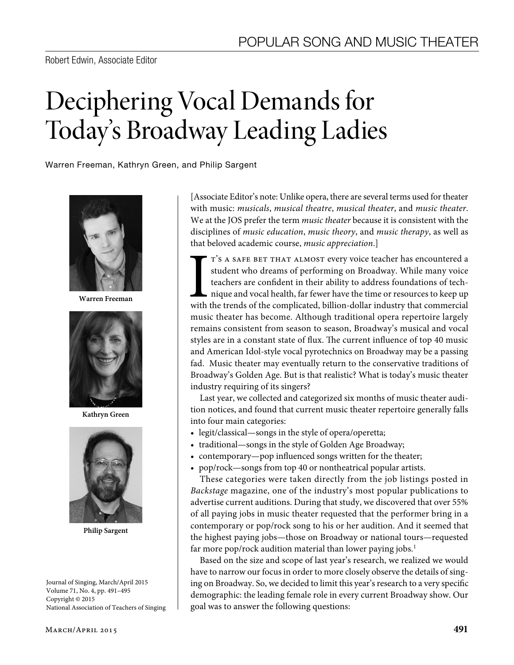# Deciphering Vocal Demands for Today's Broadway Leading Ladies

Warren Freeman, Kathryn Green, and Philip Sargent



**Warren Freeman**



**Kathryn Green**



**Philip Sargent**

Journal of Singing, March/April 2015 Volume 71, No. 4, pp. 491–495 Copyright © 2015 National Association of Teachers of Singing [Associate Editor's note: Unlike opera, there are several terms used for theater with music: *musicals*, *musical theatre*, *musical theater*, and *music theater*. We at the JOS prefer the term *music theater* because it is consistent with the disciplines of *music education*, *music theory*, and *music therapy*, as well as that beloved academic course, *music appreciation*.]

T'S A SAFE BET THAT ALMOST every voice teacher has encountered a student who dreams of performing on Broadway. While many voice teachers are confident in their ability to address foundations of technique and vocal health, T'S A SAFE BET THAT ALMOST every voice teacher has encountered a student who dreams of performing on Broadway. While many voice teachers are confident in their ability to address foundations of technique and vocal health, far fewer have the time or resources to keep up music theater has become. Although traditional opera repertoire largely remains consistent from season to season, Broadway's musical and vocal styles are in a constant state of flux. The current influence of top 40 music and American Idol-style vocal pyrotechnics on Broadway may be a passing fad. Music theater may eventually return to the conservative traditions of Broadway's Golden Age. But is that realistic? What is today's music theater industry requiring of its singers?

Last year, we collected and categorized six months of music theater audition notices, and found that current music theater repertoire generally falls into four main categories:

- legit/classical—songs in the style of opera/operetta;
- traditional—songs in the style of Golden Age Broadway;
- contemporary—pop influenced songs written for the theater;
- pop/rock—songs from top 40 or nontheatrical popular artists.

These categories were taken directly from the job listings posted in *Backstage* magazine, one of the industry's most popular publications to advertise current auditions. During that study, we discovered that over 55% of all paying jobs in music theater requested that the performer bring in a contemporary or pop/rock song to his or her audition. And it seemed that the highest paying jobs—those on Broadway or national tours—requested far more pop/rock audition material than lower paying jobs.<sup>1</sup>

Based on the size and scope of last year's research, we realized we would have to narrow our focus in order to more closely observe the details of singing on Broadway. So, we decided to limit this year's research to a very specific demographic: the leading female role in every current Broadway show. Our goal was to answer the following questions: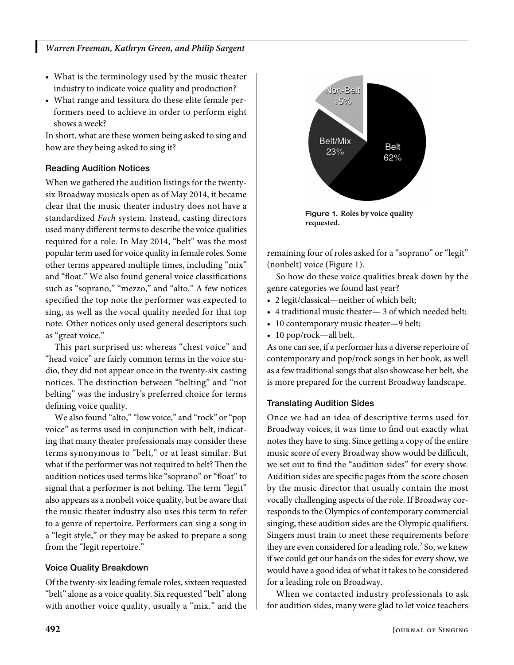- What is the terminology used by the music theater industry to indicate voice quality and production?
- What range and tessitura do these elite female performers need to achieve in order to perform eight shows a week?

In short, what are these women being asked to sing and how are they being asked to sing it?

# Reading Audition Notices

I

When we gathered the audition listings for the twentysix Broadway musicals open as of May 2014, it became clear that the music theater industry does not have a standardized *Fach* system. Instead, casting directors used many different terms to describe the voice qualities required for a role. In May 2014, "belt" was the most popular term used for voice quality in female roles. Some other terms appeared multiple times, including "mix" and "float." We also found general voice classifications such as "soprano," "mezzo," and "alto." A few notices specified the top note the performer was expected to sing, as well as the vocal quality needed for that top note. Other notices only used general descriptors such as "great voice."

This part surprised us: whereas "chest voice" and "head voice" are fairly common terms in the voice studio, they did not appear once in the twenty-six casting notices. The distinction between "belting" and "not belting" was the industry's preferred choice for terms defining voice quality.

We also found "alto," "low voice," and "rock" or "pop voice" as terms used in conjunction with belt, indicating that many theater professionals may consider these terms synonymous to "belt," or at least similar. But what if the performer was not required to belt? Then the audition notices used terms like "soprano" or "float" to signal that a performer is not belting. The term "legit" also appears as a nonbelt voice quality, but be aware that the music theater industry also uses this term to refer to a genre of repertoire. Performers can sing a song in a "legit style," or they may be asked to prepare a song from the "legit repertoire."

## Voice Quality Breakdown

Of the twenty-six leading female roles, sixteen requested "belt" alone as a voice quality. Six requested "belt" along with another voice quality, usually a "mix." and the



Figure 1. **Roles by voice quality requested.**

remaining four of roles asked for a "soprano" or "legit" (nonbelt) voice (Figure 1).

So how do these voice qualities break down by the genre categories we found last year?

- 2 legit/classical—neither of which belt;
- 4 traditional music theater— 3 of which needed belt;
- 10 contemporary music theater—9 belt;
- 10 pop/rock—all belt.

As one can see, if a performer has a diverse repertoire of contemporary and pop/rock songs in her book, as well as a few traditional songs that also showcase her belt, she is more prepared for the current Broadway landscape.

## Translating Audition Sides

Once we had an idea of descriptive terms used for Broadway voices, it was time to find out exactly what notes they have to sing. Since getting a copy of the entire music score of every Broadway show would be difficult, we set out to find the "audition sides" for every show. Audition sides are specific pages from the score chosen by the music director that usually contain the most vocally challenging aspects of the role. If Broadway corresponds to the Olympics of contemporary commercial singing, these audition sides are the Olympic qualifiers. Singers must train to meet these requirements before they are even considered for a leading role.<sup>2</sup> So, we knew if we could get our hands on the sides for every show, we would have a good idea of what it takes to be considered for a leading role on Broadway.

When we contacted industry professionals to ask for audition sides, many were glad to let voice teachers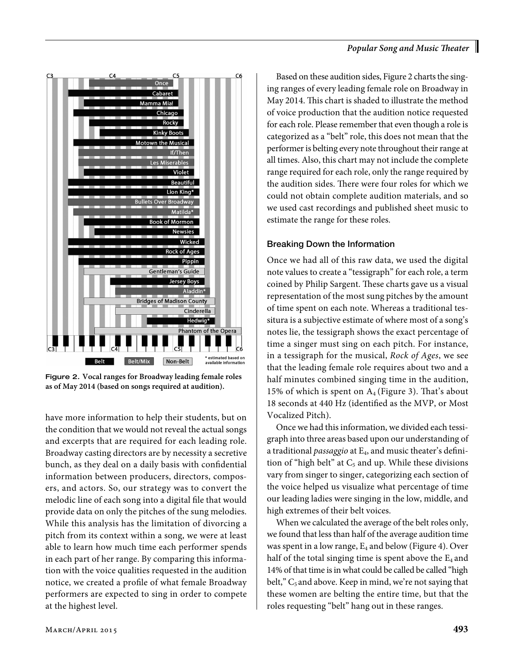

Figure 2. **Vocal ranges for Broadway leading female roles as of May 2014 (based on songs required at audition).**

have more information to help their students, but on the condition that we would not reveal the actual songs and excerpts that are required for each leading role. Broadway casting directors are by necessity a secretive bunch, as they deal on a daily basis with confidential information between producers, directors, composers, and actors. So, our strategy was to convert the melodic line of each song into a digital file that would provide data on only the pitches of the sung melodies. While this analysis has the limitation of divorcing a pitch from its context within a song, we were at least able to learn how much time each performer spends in each part of her range. By comparing this information with the voice qualities requested in the audition notice, we created a profile of what female Broadway performers are expected to sing in order to compete at the highest level.

Based on these audition sides, Figure 2 charts the singing ranges of every leading female role on Broadway in May 2014. This chart is shaded to illustrate the method of voice production that the audition notice requested for each role. Please remember that even though a role is categorized as a "belt" role, this does not mean that the performer is belting every note throughout their range at all times. Also, this chart may not include the complete range required for each role, only the range required by the audition sides. There were four roles for which we could not obtain complete audition materials, and so we used cast recordings and published sheet music to estimate the range for these roles.

## Breaking Down the Information

Once we had all of this raw data, we used the digital note values to create a "tessigraph" for each role, a term coined by Philip Sargent. These charts gave us a visual representation of the most sung pitches by the amount of time spent on each note. Whereas a traditional tessitura is a subjective estimate of where most of a song's notes lie, the tessigraph shows the exact percentage of time a singer must sing on each pitch. For instance, in a tessigraph for the musical, *Rock of Ages*, we see that the leading female role requires about two and a half minutes combined singing time in the audition, 15% of which is spent on  $A_4$  (Figure 3). That's about 18 seconds at 440 Hz (identified as the MVP, or Most Vocalized Pitch).

Once we had this information, we divided each tessigraph into three areas based upon our understanding of a traditional *passaggio* at E4, and music theater's definition of "high belt" at  $C_5$  and up. While these divisions vary from singer to singer, categorizing each section of the voice helped us visualize what percentage of time our leading ladies were singing in the low, middle, and high extremes of their belt voices.

When we calculated the average of the belt roles only, we found that less than half of the average audition time was spent in a low range,  $E_4$  and below (Figure 4). Over half of the total singing time is spent above the  $E_4$  and 14% of that time is in what could be called be called "high belt,"  $C_5$  and above. Keep in mind, we're not saying that these women are belting the entire time, but that the roles requesting "belt" hang out in these ranges.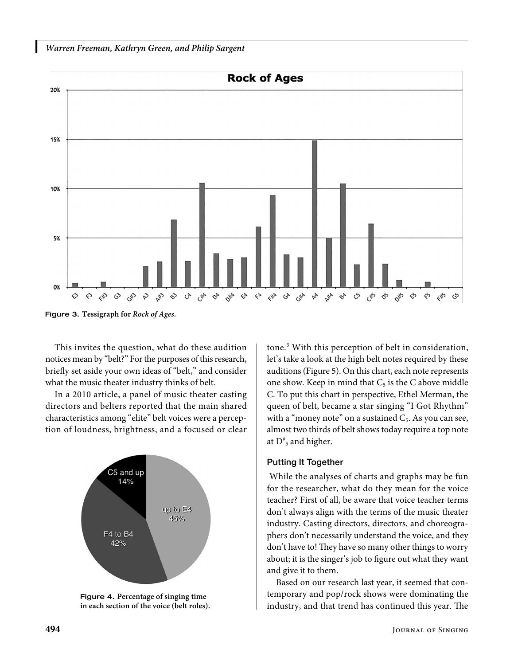



Figure 3. **Tessigraph for** *Rock of Ages***.**

This invites the question, what do these audition notices mean by "belt?" For the purposes of this research, briefly set aside your own ideas of "belt," and consider what the music theater industry thinks of belt.

In a 2010 article, a panel of music theater casting directors and belters reported that the main shared characteristics among "elite" belt voices were a perception of loudness, brightness, and a focused or clear





tone.3 With this perception of belt in consideration, let's take a look at the high belt notes required by these auditions (Figure 5). On this chart, each note represents one show. Keep in mind that  $C_5$  is the C above middle C. To put this chart in perspective, Ethel Merman, the queen of belt, became a star singing "I Got Rhythm" with a "money note" on a sustained  $C_5$ . As you can see, almost two thirds of belt shows today require a top note at  $D^*$ <sub>5</sub> and higher.

#### Putting It Together

 While the analyses of charts and graphs may be fun for the researcher, what do they mean for the voice teacher? First of all, be aware that voice teacher terms don't always align with the terms of the music theater industry. Casting directors, directors, and choreographers don't necessarily understand the voice, and they don't have to! They have so many other things to worry about; it is the singer's job to figure out what they want and give it to them.

Based on our research last year, it seemed that contemporary and pop/rock shows were dominating the industry, and that trend has continued this year. The